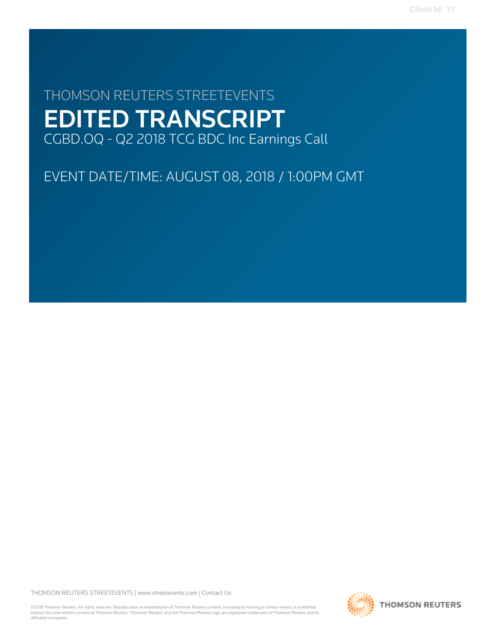# THOMSON REUTERS STREETEVENTS EDITED TRANSCRIPT CGBD.OQ - Q2 2018 TCG BDC Inc Earnings Call

EVENT DATE/TIME: AUGUST 08, 2018 / 1:00PM GMT

THOMSON REUTERS STREETEVENTS | [www.streetevents.com](http://www.streetevents.com) | [Contact Us](http://www010.streetevents.com/contact.asp)

©2018 Thomson Reuters. All rights reserved. Republication or redistribution of Thomson Reuters content, including by framing or similar means, is prohibited without the prior written consent of Thomson Reuters. 'Thomson Reuters' and the Thomson Reuters logo are registered trademarks of Thomson Reuters and its affiliated companies.

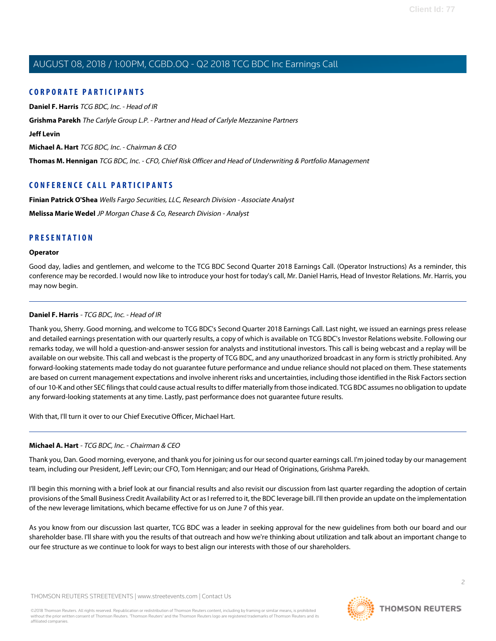# **CORPORATE PARTICIPANTS**

**[Daniel F. Harris](#page-1-0)** TCG BDC, Inc. - Head of IR

**[Grishma Parekh](#page-3-0)** The Carlyle Group L.P. - Partner and Head of Carlyle Mezzanine Partners

**[Jeff Levin](#page-2-0)**

**[Michael A. Hart](#page-1-1)** TCG BDC, Inc. - Chairman & CEO

**[Thomas M. Hennigan](#page-4-0)** TCG BDC, Inc. - CFO, Chief Risk Officer and Head of Underwriting & Portfolio Management

# **CONFERENCE CALL PARTICIPANTS**

**[Finian Patrick O'Shea](#page-5-0)** Wells Fargo Securities, LLC, Research Division - Associate Analyst

**[Melissa Marie Wedel](#page-6-0)** JP Morgan Chase & Co, Research Division - Analyst

# **PRESENTATION**

## **Operator**

<span id="page-1-0"></span>Good day, ladies and gentlemen, and welcome to the TCG BDC Second Quarter 2018 Earnings Call. (Operator Instructions) As a reminder, this conference may be recorded. I would now like to introduce your host for today's call, Mr. Daniel Harris, Head of Investor Relations. Mr. Harris, you may now begin.

# **Daniel F. Harris** - TCG BDC, Inc. - Head of IR

Thank you, Sherry. Good morning, and welcome to TCG BDC's Second Quarter 2018 Earnings Call. Last night, we issued an earnings press release and detailed earnings presentation with our quarterly results, a copy of which is available on TCG BDC's Investor Relations website. Following our remarks today, we will hold a question-and-answer session for analysts and institutional investors. This call is being webcast and a replay will be available on our website. This call and webcast is the property of TCG BDC, and any unauthorized broadcast in any form is strictly prohibited. Any forward-looking statements made today do not guarantee future performance and undue reliance should not placed on them. These statements are based on current management expectations and involve inherent risks and uncertainties, including those identified in the Risk Factors section of our 10-K and other SEC filings that could cause actual results to differ materially from those indicated. TCG BDC assumes no obligation to update any forward-looking statements at any time. Lastly, past performance does not guarantee future results.

<span id="page-1-1"></span>With that, I'll turn it over to our Chief Executive Officer, Michael Hart.

# **Michael A. Hart** - TCG BDC, Inc. - Chairman & CEO

Thank you, Dan. Good morning, everyone, and thank you for joining us for our second quarter earnings call. I'm joined today by our management team, including our President, Jeff Levin; our CFO, Tom Hennigan; and our Head of Originations, Grishma Parekh.

I'll begin this morning with a brief look at our financial results and also revisit our discussion from last quarter regarding the adoption of certain provisions of the Small Business Credit Availability Act or as I referred to it, the BDC leverage bill. I'll then provide an update on the implementation of the new leverage limitations, which became effective for us on June 7 of this year.

As you know from our discussion last quarter, TCG BDC was a leader in seeking approval for the new guidelines from both our board and our shareholder base. I'll share with you the results of that outreach and how we're thinking about utilization and talk about an important change to our fee structure as we continue to look for ways to best align our interests with those of our shareholders.

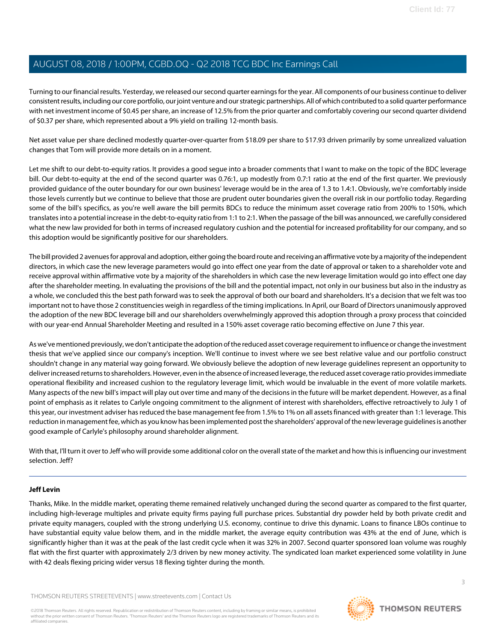Turning to our financial results. Yesterday, we released our second quarter earnings for the year. All components of our business continue to deliver consistent results, including our core portfolio, our joint venture and our strategic partnerships. All of which contributed to a solid quarter performance with net investment income of \$0.45 per share, an increase of 12.5% from the prior quarter and comfortably covering our second quarter dividend of \$0.37 per share, which represented about a 9% yield on trailing 12-month basis.

Net asset value per share declined modestly quarter-over-quarter from \$18.09 per share to \$17.93 driven primarily by some unrealized valuation changes that Tom will provide more details on in a moment.

Let me shift to our debt-to-equity ratios. It provides a good segue into a broader comments that I want to make on the topic of the BDC leverage bill. Our debt-to-equity at the end of the second quarter was 0.76:1, up modestly from 0.7:1 ratio at the end of the first quarter. We previously provided guidance of the outer boundary for our own business' leverage would be in the area of 1.3 to 1.4:1. Obviously, we're comfortably inside those levels currently but we continue to believe that those are prudent outer boundaries given the overall risk in our portfolio today. Regarding some of the bill's specifics, as you're well aware the bill permits BDCs to reduce the minimum asset coverage ratio from 200% to 150%, which translates into a potential increase in the debt-to-equity ratio from 1:1 to 2:1. When the passage of the bill was announced, we carefully considered what the new law provided for both in terms of increased regulatory cushion and the potential for increased profitability for our company, and so this adoption would be significantly positive for our shareholders.

The bill provided 2 avenues for approval and adoption, either going the board route and receiving an affirmative vote by a majority of the independent directors, in which case the new leverage parameters would go into effect one year from the date of approval or taken to a shareholder vote and receive approval within affirmative vote by a majority of the shareholders in which case the new leverage limitation would go into effect one day after the shareholder meeting. In evaluating the provisions of the bill and the potential impact, not only in our business but also in the industry as a whole, we concluded this the best path forward was to seek the approval of both our board and shareholders. It's a decision that we felt was too important not to have those 2 constituencies weigh in regardless of the timing implications. In April, our Board of Directors unanimously approved the adoption of the new BDC leverage bill and our shareholders overwhelmingly approved this adoption through a proxy process that coincided with our year-end Annual Shareholder Meeting and resulted in a 150% asset coverage ratio becoming effective on June 7 this year.

As we've mentioned previously, we don't anticipate the adoption of the reduced asset coverage requirement to influence or change the investment thesis that we've applied since our company's inception. We'll continue to invest where we see best relative value and our portfolio construct shouldn't change in any material way going forward. We obviously believe the adoption of new leverage guidelines represent an opportunity to deliver increased returns to shareholders. However, even in the absence of increased leverage, the reduced asset coverage ratio provides immediate operational flexibility and increased cushion to the regulatory leverage limit, which would be invaluable in the event of more volatile markets. Many aspects of the new bill's impact will play out over time and many of the decisions in the future will be market dependent. However, as a final point of emphasis as it relates to Carlyle ongoing commitment to the alignment of interest with shareholders, effective retroactively to July 1 of this year, our investment adviser has reduced the base management fee from 1.5% to 1% on all assets financed with greater than 1:1 leverage. This reduction in management fee, which as you know has been implemented post the shareholders' approval of the new leverage guidelines is another good example of Carlyle's philosophy around shareholder alignment.

<span id="page-2-0"></span>With that, I'll turn it over to Jeff who will provide some additional color on the overall state of the market and how this is influencing our investment selection. Jeff?

## **Jeff Levin**

Thanks, Mike. In the middle market, operating theme remained relatively unchanged during the second quarter as compared to the first quarter, including high-leverage multiples and private equity firms paying full purchase prices. Substantial dry powder held by both private credit and private equity managers, coupled with the strong underlying U.S. economy, continue to drive this dynamic. Loans to finance LBOs continue to have substantial equity value below them, and in the middle market, the average equity contribution was 43% at the end of June, which is significantly higher than it was at the peak of the last credit cycle when it was 32% in 2007. Second quarter sponsored loan volume was roughly flat with the first quarter with approximately 2/3 driven by new money activity. The syndicated loan market experienced some volatility in June with 42 deals flexing pricing wider versus 18 flexing tighter during the month.

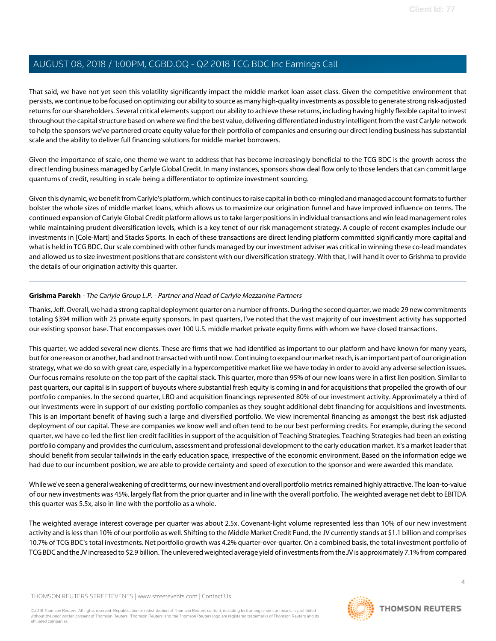That said, we have not yet seen this volatility significantly impact the middle market loan asset class. Given the competitive environment that persists, we continue to be focused on optimizing our ability to source as many high-quality investments as possible to generate strong risk-adjusted returns for our shareholders. Several critical elements support our ability to achieve these returns, including having highly flexible capital to invest throughout the capital structure based on where we find the best value, delivering differentiated industry intelligent from the vast Carlyle network to help the sponsors we've partnered create equity value for their portfolio of companies and ensuring our direct lending business has substantial scale and the ability to deliver full financing solutions for middle market borrowers.

Given the importance of scale, one theme we want to address that has become increasingly beneficial to the TCG BDC is the growth across the direct lending business managed by Carlyle Global Credit. In many instances, sponsors show deal flow only to those lenders that can commit large quantums of credit, resulting in scale being a differentiator to optimize investment sourcing.

Given this dynamic, we benefit from Carlyle's platform, which continues to raise capital in both co-mingled and managed account formats to further bolster the whole sizes of middle market loans, which allows us to maximize our origination funnel and have improved influence on terms. The continued expansion of Carlyle Global Credit platform allows us to take larger positions in individual transactions and win lead management roles while maintaining prudent diversification levels, which is a key tenet of our risk management strategy. A couple of recent examples include our investments in [Cole-Mart] and Stacks Sports. In each of these transactions are direct lending platform committed significantly more capital and what is held in TCG BDC. Our scale combined with other funds managed by our investment adviser was critical in winning these co-lead mandates and allowed us to size investment positions that are consistent with our diversification strategy. With that, I will hand it over to Grishma to provide the details of our origination activity this quarter.

# <span id="page-3-0"></span>**Grishma Parekh** - The Carlyle Group L.P. - Partner and Head of Carlyle Mezzanine Partners

Thanks, Jeff. Overall, we had a strong capital deployment quarter on a number of fronts. During the second quarter, we made 29 new commitments totaling \$394 million with 25 private equity sponsors. In past quarters, I've noted that the vast majority of our investment activity has supported our existing sponsor base. That encompasses over 100 U.S. middle market private equity firms with whom we have closed transactions.

This quarter, we added several new clients. These are firms that we had identified as important to our platform and have known for many years, but for one reason or another, had and not transacted with until now. Continuing to expand our market reach, is an important part of our origination strategy, what we do so with great care, especially in a hypercompetitive market like we have today in order to avoid any adverse selection issues. Our focus remains resolute on the top part of the capital stack. This quarter, more than 95% of our new loans were in a first lien position. Similar to past quarters, our capital is in support of buyouts where substantial fresh equity is coming in and for acquisitions that propelled the growth of our portfolio companies. In the second quarter, LBO and acquisition financings represented 80% of our investment activity. Approximately a third of our investments were in support of our existing portfolio companies as they sought additional debt financing for acquisitions and investments. This is an important benefit of having such a large and diversified portfolio. We view incremental financing as amongst the best risk adjusted deployment of our capital. These are companies we know well and often tend to be our best performing credits. For example, during the second quarter, we have co-led the first lien credit facilities in support of the acquisition of Teaching Strategies. Teaching Strategies had been an existing portfolio company and provides the curriculum, assessment and professional development to the early education market. It's a market leader that should benefit from secular tailwinds in the early education space, irrespective of the economic environment. Based on the information edge we had due to our incumbent position, we are able to provide certainty and speed of execution to the sponsor and were awarded this mandate.

While we've seen a general weakening of credit terms, our new investment and overall portfolio metrics remained highly attractive. The loan-to-value of our new investments was 45%, largely flat from the prior quarter and in line with the overall portfolio. The weighted average net debt to EBITDA this quarter was 5.5x, also in line with the portfolio as a whole.

The weighted average interest coverage per quarter was about 2.5x. Covenant-light volume represented less than 10% of our new investment activity and is less than 10% of our portfolio as well. Shifting to the Middle Market Credit Fund, the JV currently stands at \$1.1 billion and comprises 10.7% of TCG BDC's total investments. Net portfolio growth was 4.2% quarter-over-quarter. On a combined basis, the total investment portfolio of TCG BDC and the JV increased to \$2.9 billion. The unlevered weighted average yield of investments from the JV is approximately 7.1% from compared

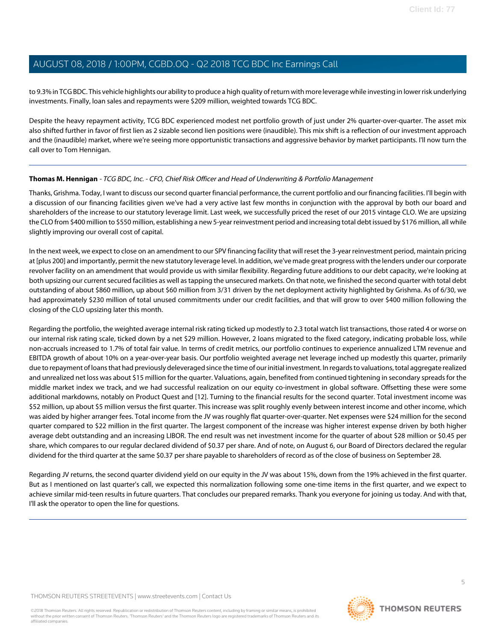to 9.3% in TCG BDC. This vehicle highlights our ability to produce a high quality of return with more leverage while investing in lower risk underlying investments. Finally, loan sales and repayments were \$209 million, weighted towards TCG BDC.

Despite the heavy repayment activity, TCG BDC experienced modest net portfolio growth of just under 2% quarter-over-quarter. The asset mix also shifted further in favor of first lien as 2 sizable second lien positions were (inaudible). This mix shift is a reflection of our investment approach and the (inaudible) market, where we're seeing more opportunistic transactions and aggressive behavior by market participants. I'll now turn the call over to Tom Hennigan.

## <span id="page-4-0"></span>**Thomas M. Hennigan** - TCG BDC, Inc. - CFO, Chief Risk Officer and Head of Underwriting & Portfolio Management

Thanks, Grishma. Today, I want to discuss our second quarter financial performance, the current portfolio and our financing facilities. I'll begin with a discussion of our financing facilities given we've had a very active last few months in conjunction with the approval by both our board and shareholders of the increase to our statutory leverage limit. Last week, we successfully priced the reset of our 2015 vintage CLO. We are upsizing the CLO from \$400 million to \$550 million, establishing a new 5-year reinvestment period and increasing total debt issued by \$176 million, all while slightly improving our overall cost of capital.

In the next week, we expect to close on an amendment to our SPV financing facility that will reset the 3-year reinvestment period, maintain pricing at [plus 200] and importantly, permit the new statutory leverage level. In addition, we've made great progress with the lenders under our corporate revolver facility on an amendment that would provide us with similar flexibility. Regarding future additions to our debt capacity, we're looking at both upsizing our current secured facilities as well as tapping the unsecured markets. On that note, we finished the second quarter with total debt outstanding of about \$860 million, up about \$60 million from 3/31 driven by the net deployment activity highlighted by Grishma. As of 6/30, we had approximately \$230 million of total unused commitments under our credit facilities, and that will grow to over \$400 million following the closing of the CLO upsizing later this month.

Regarding the portfolio, the weighted average internal risk rating ticked up modestly to 2.3 total watch list transactions, those rated 4 or worse on our internal risk rating scale, ticked down by a net \$29 million. However, 2 loans migrated to the fixed category, indicating probable loss, while non-accruals increased to 1.7% of total fair value. In terms of credit metrics, our portfolio continues to experience annualized LTM revenue and EBITDA growth of about 10% on a year-over-year basis. Our portfolio weighted average net leverage inched up modestly this quarter, primarily due to repayment of loans that had previously deleveraged since the time of our initial investment. In regards to valuations, total aggregate realized and unrealized net loss was about \$15 million for the quarter. Valuations, again, benefited from continued tightening in secondary spreads for the middle market index we track, and we had successful realization on our equity co-investment in global software. Offsetting these were some additional markdowns, notably on Product Quest and [12]. Turning to the financial results for the second quarter. Total investment income was \$52 million, up about \$5 million versus the first quarter. This increase was split roughly evenly between interest income and other income, which was aided by higher arranger fees. Total income from the JV was roughly flat quarter-over-quarter. Net expenses were \$24 million for the second quarter compared to \$22 million in the first quarter. The largest component of the increase was higher interest expense driven by both higher average debt outstanding and an increasing LIBOR. The end result was net investment income for the quarter of about \$28 million or \$0.45 per share, which compares to our regular declared dividend of \$0.37 per share. And of note, on August 6, our Board of Directors declared the regular dividend for the third quarter at the same \$0.37 per share payable to shareholders of record as of the close of business on September 28.

Regarding JV returns, the second quarter dividend yield on our equity in the JV was about 15%, down from the 19% achieved in the first quarter. But as I mentioned on last quarter's call, we expected this normalization following some one-time items in the first quarter, and we expect to achieve similar mid-teen results in future quarters. That concludes our prepared remarks. Thank you everyone for joining us today. And with that, I'll ask the operator to open the line for questions.

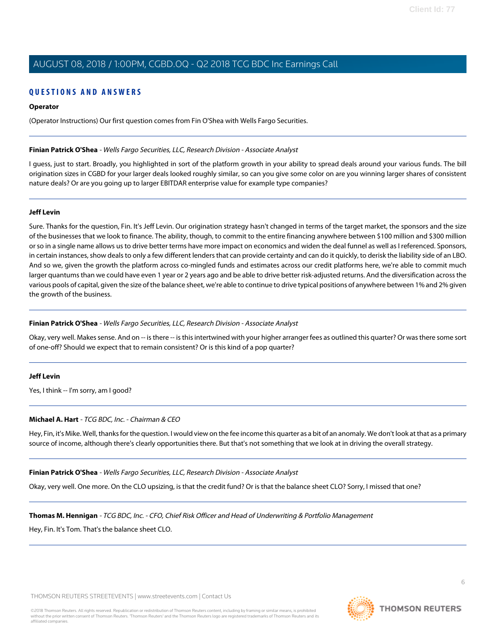# **QUESTIONS AND ANSWERS**

## **Operator**

(Operator Instructions) Our first question comes from Fin O'Shea with Wells Fargo Securities.

## <span id="page-5-0"></span>**Finian Patrick O'Shea** - Wells Fargo Securities, LLC, Research Division - Associate Analyst

I guess, just to start. Broadly, you highlighted in sort of the platform growth in your ability to spread deals around your various funds. The bill origination sizes in CGBD for your larger deals looked roughly similar, so can you give some color on are you winning larger shares of consistent nature deals? Or are you going up to larger EBITDAR enterprise value for example type companies?

## **Jeff Levin**

Sure. Thanks for the question, Fin. It's Jeff Levin. Our origination strategy hasn't changed in terms of the target market, the sponsors and the size of the businesses that we look to finance. The ability, though, to commit to the entire financing anywhere between \$100 million and \$300 million or so in a single name allows us to drive better terms have more impact on economics and widen the deal funnel as well as I referenced. Sponsors, in certain instances, show deals to only a few different lenders that can provide certainty and can do it quickly, to derisk the liability side of an LBO. And so we, given the growth the platform across co-mingled funds and estimates across our credit platforms here, we're able to commit much larger quantums than we could have even 1 year or 2 years ago and be able to drive better risk-adjusted returns. And the diversification across the various pools of capital, given the size of the balance sheet, we're able to continue to drive typical positions of anywhere between 1% and 2% given the growth of the business.

# **Finian Patrick O'Shea** - Wells Fargo Securities, LLC, Research Division - Associate Analyst

Okay, very well. Makes sense. And on -- is there -- is this intertwined with your higher arranger fees as outlined this quarter? Or was there some sort of one-off? Should we expect that to remain consistent? Or is this kind of a pop quarter?

## **Jeff Levin**

Yes, I think -- I'm sorry, am I good?

# **Michael A. Hart** - TCG BDC, Inc. - Chairman & CEO

Hey, Fin, it's Mike. Well, thanks for the question. I would view on the fee income this quarter as a bit of an anomaly. We don't look at that as a primary source of income, although there's clearly opportunities there. But that's not something that we look at in driving the overall strategy.

## **Finian Patrick O'Shea** - Wells Fargo Securities, LLC, Research Division - Associate Analyst

Okay, very well. One more. On the CLO upsizing, is that the credit fund? Or is that the balance sheet CLO? Sorry, I missed that one?

## **Thomas M. Hennigan** - TCG BDC, Inc. - CFO, Chief Risk Officer and Head of Underwriting & Portfolio Management

Hey, Fin. It's Tom. That's the balance sheet CLO.

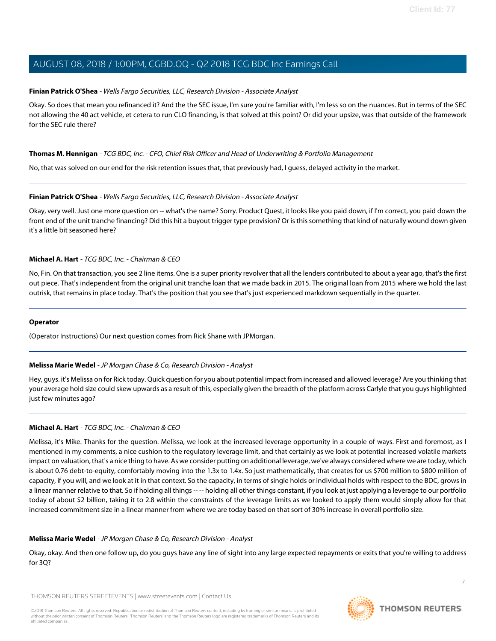## **Finian Patrick O'Shea** - Wells Fargo Securities, LLC, Research Division - Associate Analyst

Okay. So does that mean you refinanced it? And the the SEC issue, I'm sure you're familiar with, I'm less so on the nuances. But in terms of the SEC not allowing the 40 act vehicle, et cetera to run CLO financing, is that solved at this point? Or did your upsize, was that outside of the framework for the SEC rule there?

## **Thomas M. Hennigan** - TCG BDC, Inc. - CFO, Chief Risk Officer and Head of Underwriting & Portfolio Management

No, that was solved on our end for the risk retention issues that, that previously had, I guess, delayed activity in the market.

## **Finian Patrick O'Shea** - Wells Fargo Securities, LLC, Research Division - Associate Analyst

Okay, very well. Just one more question on -- what's the name? Sorry. Product Quest, it looks like you paid down, if I'm correct, you paid down the front end of the unit tranche financing? Did this hit a buyout trigger type provision? Or is this something that kind of naturally wound down given it's a little bit seasoned here?

## **Michael A. Hart** - TCG BDC, Inc. - Chairman & CEO

No, Fin. On that transaction, you see 2 line items. One is a super priority revolver that all the lenders contributed to about a year ago, that's the first out piece. That's independent from the original unit tranche loan that we made back in 2015. The original loan from 2015 where we hold the last outrisk, that remains in place today. That's the position that you see that's just experienced markdown sequentially in the quarter.

## **Operator**

<span id="page-6-0"></span>(Operator Instructions) Our next question comes from Rick Shane with JPMorgan.

## **Melissa Marie Wedel** - JP Morgan Chase & Co, Research Division - Analyst

Hey, guys. it's Melissa on for Rick today. Quick question for you about potential impact from increased and allowed leverage? Are you thinking that your average hold size could skew upwards as a result of this, especially given the breadth of the platform across Carlyle that you guys highlighted just few minutes ago?

## **Michael A. Hart** - TCG BDC, Inc. - Chairman & CEO

Melissa, it's Mike. Thanks for the question. Melissa, we look at the increased leverage opportunity in a couple of ways. First and foremost, as I mentioned in my comments, a nice cushion to the regulatory leverage limit, and that certainly as we look at potential increased volatile markets impact on valuation, that's a nice thing to have. As we consider putting on additional leverage, we've always considered where we are today, which is about 0.76 debt-to-equity, comfortably moving into the 1.3x to 1.4x. So just mathematically, that creates for us \$700 million to \$800 million of capacity, if you will, and we look at it in that context. So the capacity, in terms of single holds or individual holds with respect to the BDC, grows in a linear manner relative to that. So if holding all things ---- holding all other things constant, if you look at just applying a leverage to our portfolio today of about \$2 billion, taking it to 2.8 within the constraints of the leverage limits as we looked to apply them would simply allow for that increased commitment size in a linear manner from where we are today based on that sort of 30% increase in overall portfolio size.

## **Melissa Marie Wedel** - JP Morgan Chase & Co, Research Division - Analyst

Okay, okay. And then one follow up, do you guys have any line of sight into any large expected repayments or exits that you're willing to address for 3Q?